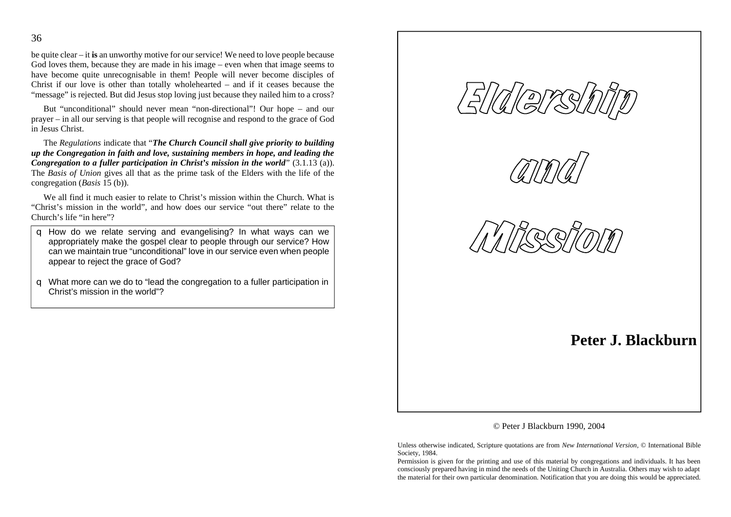#### 36

be quite clear – it **is** an unworthy motive for our service! We need to love people because God loves them, because they are made in his image – even when that image seems to have become quite unrecognisable in them! People will never become disciples of Christ if our love is other than totally wholehearted – and if it ceases because the "message" is rejected. But did Jesus stop loving just because they nailed him to a cross?

But "unconditional" should never mean "non-directional"! Our hope – and our prayer – in all our serving is that people will recognise and respond to the grace of God in Jesus Christ.

The *Regulations* indicate that "*The Church Council shall give priority to building up the Congregation in faith and love, sustaining members in hope, and leading the Congregation to a fuller participation in Christ's mission in the world*" (3.1.13 (a)). The *Basis of Union* gives all that as the prime task of the Elders with the life of the congregation (*Basis* 15 (b)).

We all find it much easier to relate to Christ's mission within the Church. What is "Christ's mission in the world", and how does our service "out there" relate to the Church's life "in here"?

- q How do we relate serving and evangelising? In what ways can we appropriately make the gospel clear to people through our service? How can we maintain true "unconditional" love in our service even when people appear to reject the grace of God?
- q What more can we do to "lead the congregation to a fuller participation in Christ's mission in the world"?







## **Peter J. Blackburn**

© Peter J Blackburn 1990, 2004

Unless otherwise indicated, Scripture quotations are from *New International Version*, © International Bible Society, 1984.

Permission is given for the printing and use of this material by congregations and individuals. It has been consciously prepared having in mind the needs of the Uniting Church in Australia. Others may wish to adapt the material for their own particular denomination. Notification that you are doing this would be appreciated.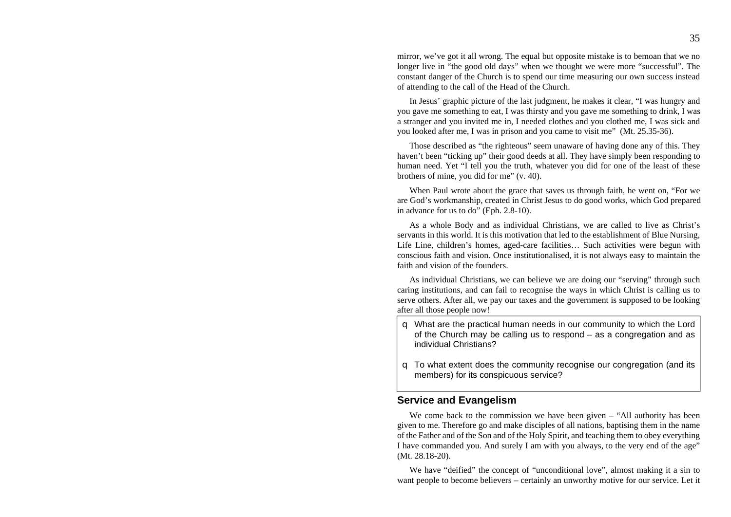mirror, we've got it all wrong. The equal but opposite mistake is to bemoan that we no longer live in "the good old days" when we thought we were more "successful". The constant danger of the Church is to spend our time measuring our own success instead of attending to the call of the Head of the Church.

In Jesus' graphic picture of the last judgment, he makes it clear, "I was hungry and you gave me something to eat, I was thirsty and you gave me something to drink, I was a stranger and you invited me in, I needed clothes and you clothed me, I was sick and you looked after me, I was in prison and you came to visit me" (Mt. 25.35-36).

Those described as "the righteous" seem unaware of having done any of this. They haven't been "ticking up" their good deeds at all. They have simply been responding to human need. Yet "I tell you the truth, whatever you did for one of the least of these brothers of mine, you did for me" (v. 40).

When Paul wrote about the grace that saves us through faith, he went on, "For we are God's workmanship, created in Christ Jesus to do good works, which God prepared in advance for us to do" (Eph. 2.8-10).

As a whole Body and as individual Christians, we are called to live as Christ's servants in this world. It is this motivation that led to the establishment of Blue Nursing, Life Line, children's homes, aged-care facilities… Such activities were begun with conscious faith and vision. Once institutionalised, it is not always easy to maintain the faith and vision of the founders.

As individual Christians, we can believe we are doing our "serving" through such caring institutions, and can fail to recognise the ways in which Christ is calling us to serve others. After all, we pay our taxes and the government is supposed to be looking after all those people now!

- q What are the practical human needs in our community to which the Lord of the Church may be calling us to respond – as a congregation and as individual Christians?
- q To what extent does the community recognise our congregation (and its members) for its conspicuous service?

#### **Service and Evangelism**

We come back to the commission we have been given  $-$  "All authority has been given to me. Therefore go and make disciples of all nations, baptising them in the name of the Father and of the Son and of the Holy Spirit, and teaching them to obey everything I have commanded you. And surely I am with you always, to the very end of the age" (Mt. 28.18-20).

We have "deified" the concept of "unconditional love", almost making it a sin to want people to become believers – certainly an unworthy motive for our service. Let it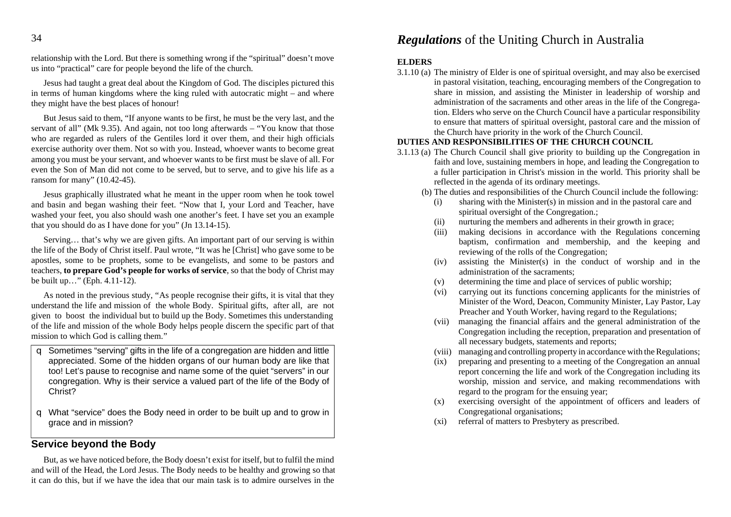relationship with the Lord. But there is something wrong if the "spiritual" doesn't move us into "practical" care for people beyond the life of the church.

Jesus had taught a great deal about the Kingdom of God. The disciples pictured this in terms of human kingdoms where the king ruled with autocratic might – and where they might have the best places of honour!

But Jesus said to them, "If anyone wants to be first, he must be the very last, and the servant of all" (Mk 9.35). And again, not too long afterwards – "You know that those who are regarded as rulers of the Gentiles lord it over them, and their high officials exercise authority over them. Not so with you. Instead, whoever wants to become great among you must be your servant, and whoever wants to be first must be slave of all. For even the Son of Man did not come to be served, but to serve, and to give his life as a ransom for many" (10.42-45).

Jesus graphically illustrated what he meant in the upper room when he took towel and basin and began washing their feet. "Now that I, your Lord and Teacher, have washed your feet, you also should wash one another's feet. I have set you an example that you should do as I have done for you" (Jn 13.14-15).

Serving… that's why we are given gifts. An important part of our serving is within the life of the Body of Christ itself. Paul wrote, "It was he [Christ] who gave some to be apostles, some to be prophets, some to be evangelists, and some to be pastors and teachers, **to prepare God's people for works of service**, so that the body of Christ may be built up…" (Eph. 4.11-12).

As noted in the previous study, "As people recognise their gifts, it is vital that they understand the life and mission of the whole Body. Spiritual gifts, after all, are not given to boost the individual but to build up the Body. Sometimes this understanding of the life and mission of the whole Body helps people discern the specific part of that mission to which God is calling them."

- q Sometimes "serving" gifts in the life of a congregation are hidden and little appreciated. Some of the hidden organs of our human body are like that too! Let's pause to recognise and name some of the quiet "servers" in our congregation. Why is their service a valued part of the life of the Body of Christ?
- q What "service" does the Body need in order to be built up and to grow in grace and in mission?

### **Service beyond the Body**

But, as we have noticed before, the Body doesn't exist for itself, but to fulfil the mind and will of the Head, the Lord Jesus. The Body needs to be healthy and growing so that it can do this, but if we have the idea that our main task is to admire ourselves in the

## *Regulations* of the Uniting Church in Australia

#### **ELDERS**

3.1.10 (a) The ministry of Elder is one of spiritual oversight, and may also be exercised in pastoral visitation, teaching, encouraging members of the Congregation to share in mission, and assisting the Minister in leadership of worship and administration of the sacraments and other areas in the life of the Congregation. Elders who serve on the Church Council have a particular responsibility to ensure that matters of spiritual oversight, pastoral care and the mission of the Church have priority in the work of the Church Council.

#### **DUTIES AND RESPONSIBILITIES OF THE CHURCH COUNCIL**

- 3.1.13 (a) The Church Council shall give priority to building up the Congregation in faith and love, sustaining members in hope, and leading the Congregation to a fuller participation in Christ's mission in the world. This priority shall be reflected in the agenda of its ordinary meetings.
	- (b) The duties and responsibilities of the Church Council include the following:
		- (i) sharing with the Minister(s) in mission and in the pastoral care and spiritual oversight of the Congregation.;
		- (ii) nurturing the members and adherents in their growth in grace;
		- (iii) making decisions in accordance with the Regulations concerning baptism, confirmation and membership, and the keeping and reviewing of the rolls of the Congregation;
		- (iv) assisting the Minister(s) in the conduct of worship and in the administration of the sacraments;
		- (v) determining the time and place of services of public worship;
		- (vi) carrying out its functions concerning applicants for the ministries of Minister of the Word, Deacon, Community Minister, Lay Pastor, Lay Preacher and Youth Worker, having regard to the Regulations;
		- (vii) managing the financial affairs and the general administration of the Congregation including the reception, preparation and presentation of all necessary budgets, statements and reports;
		- (viii) managing and controlling property in accordance with the Regulations;
		- (ix) preparing and presenting to a meeting of the Congregation an annual report concerning the life and work of the Congregation including its worship, mission and service, and making recommendations with regard to the program for the ensuing year;
		- (x) exercising oversight of the appointment of officers and leaders of Congregational organisations;
		- (xi) referral of matters to Presbytery as prescribed.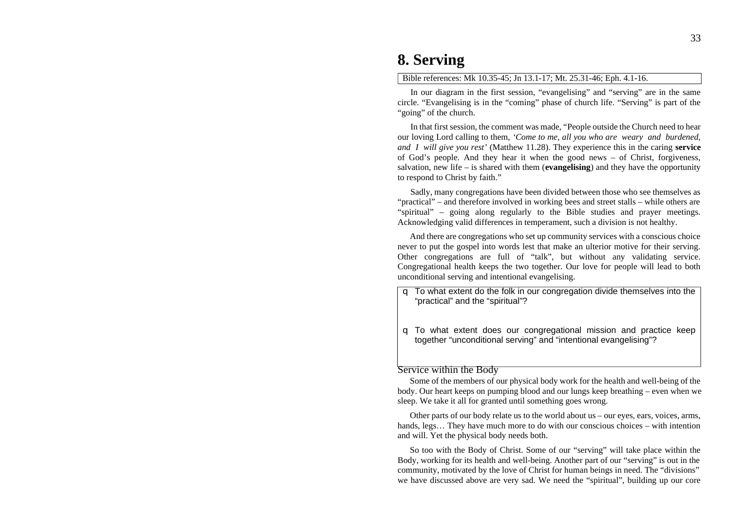# **8. Serving**

#### Bible references: Mk 10.35-45; Jn 13.1-17; Mt. 25.31-46; Eph. 4.1-16.

In our diagram in the first session, "evangelising" and "serving" are in the same circle. "Evangelising is in the "coming" phase of church life. "Serving" is part of the "going" of the church.

In that first session, the comment was made, "People outside the Church need to hear our loving Lord calling to them, *'Come to me, all you who are weary and burdened, and I will give you rest'* (Matthew 11.28). They experience this in the caring **service** of God's people. And they hear it when the good news – of Christ, forgiveness, salvation, new life – is shared with them (**evangelising**) and they have the opportunity to respond to Christ by faith."

Sadly, many congregations have been divided between those who see themselves as "practical" – and therefore involved in working bees and street stalls – while others are "spiritual" – going along regularly to the Bible studies and prayer meetings. Acknowledging valid differences in temperament, such a division is not healthy.

And there are congregations who set up community services with a conscious choice never to put the gospel into words lest that make an ulterior motive for their serving. Other congregations are full of "talk", but without any validating service. Congregational health keeps the two together. Our love for people will lead to both unconditional serving and intentional evangelising.

- q To what extent do the folk in our congregation divide themselves into the "practical" and the "spiritual"?
- q To what extent does our congregational mission and practice keep together "unconditional serving" and "intentional evangelising"?

#### Service within the Body

Some of the members of our physical body work for the health and well-being of the body. Our heart keeps on pumping blood and our lungs keep breathing – even when we sleep. We take it all for granted until something goes wrong.

Other parts of our body relate us to the world about us – our eyes, ears, voices, arms, hands, legs... They have much more to do with our conscious choices – with intention and will. Yet the physical body needs both.

So too with the Body of Christ. Some of our "serving" will take place within the Body, working for its health and well-being. Another part of our "serving" is out in the community, motivated by the love of Christ for human beings in need. The "divisions" we have discussed above are very sad. We need the "spiritual", building up our core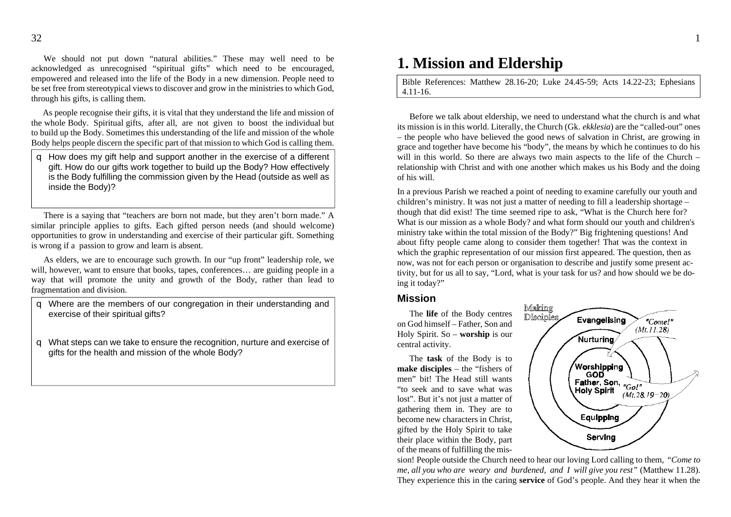We should not put down "natural abilities." These may well need to be acknowledged as unrecognised "spiritual gifts" which need to be encouraged, empowered and released into the life of the Body in a new dimension. People need to be set free from stereotypical views to discover and grow in the ministries to which God, through his gifts, is calling them.

As people recognise their gifts, it is vital that they understand the life and mission of the whole Body. Spiritual gifts, after all, are not given to boost the individual but to build up the Body. Sometimes this understanding of the life and mission of the whole Body helps people discern the specific part of that mission to which God is calling them.

q How does my gift help and support another in the exercise of a different gift. How do our gifts work together to build up the Body? How effectively is the Body fulfilling the commission given by the Head (outside as well as inside the Body)?

There is a saying that "teachers are born not made, but they aren't born made." A similar principle applies to gifts. Each gifted person needs (and should welcome) opportunities to grow in understanding and exercise of their particular gift. Something is wrong if a passion to grow and learn is absent.

As elders, we are to encourage such growth. In our "up front" leadership role, we will, however, want to ensure that books, tapes, conferences… are guiding people in a way that will promote the unity and growth of the Body, rather than lead to fragmentation and division.

- q Where are the members of our congregation in their understanding and exercise of their spiritual gifts?
- q What steps can we take to ensure the recognition, nurture and exercise of gifts for the health and mission of the whole Body?

## **1. Mission and Eldership**

Bible References: Matthew 28.16-20; Luke 24.45-59; Acts 14.22-23; Ephesians 4.11-16.

Before we talk about eldership, we need to understand what the church is and what its mission is in this world. Literally, the Church (Gk. *ekklesia*) are the "called-out" ones – the people who have believed the good news of salvation in Christ, are growing in grace and together have become his "body", the means by which he continues to do his will in this world. So there are always two main aspects to the life of the Church – relationship with Christ and with one another which makes us his Body and the doing of his will.

In a previous Parish we reached a point of needing to examine carefully our youth and children's ministry. It was not just a matter of needing to fill a leadership shortage – though that did exist! The time seemed ripe to ask, "What is the Church here for? What is our mission as a whole Body? and what form should our youth and children's ministry take within the total mission of the Body?" Big frightening questions! And about fifty people came along to consider them together! That was the context in which the graphic representation of our mission first appeared. The question, then as now, was not for each person or organisation to describe and justify some present activity, but for us all to say, "Lord, what is your task for us? and how should we be doing it today?"

#### **Mission**

The **life** of the Body centres on God himself – Father, Son and Holy Spirit. So – **worship** is our central activity.

The **task** of the Body is to **make disciples** – the "fishers of men" bit! The Head still wants "to seek and to save what was lost". But it's not just a matter of gathering them in. They are to become new characters in Christ, gifted by the Holy Spirit to take their place within the Body, part of the means of fulfilling the mis-



sion! People outside the Church need to hear our loving Lord calling to them, *"Come to me, all you who are weary and burdened, and I will give you rest"* (Matthew 11.28). They experience this in the caring **service** of God's people. And they hear it when the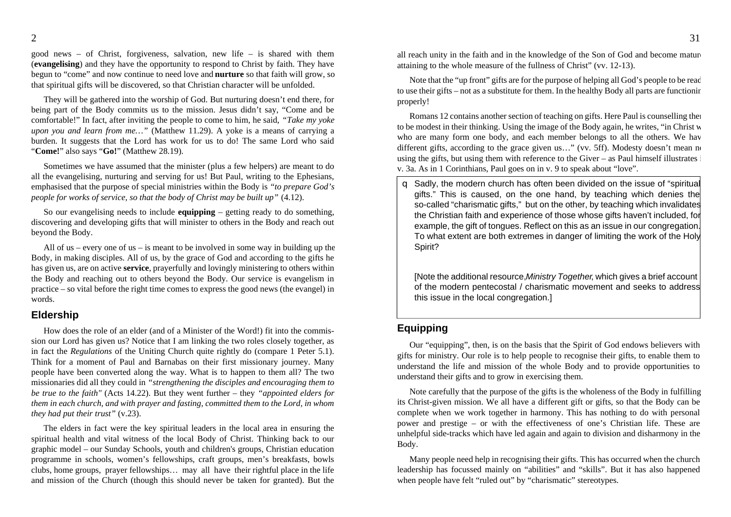good news – of Christ, forgiveness, salvation, new life – is shared with them (**evangelising**) and they have the opportunity to respond to Christ by faith. They have begun to "come" and now continue to need love and **nurture** so that faith will grow, so that spiritual gifts will be discovered, so that Christian character will be unfolded.

They will be gathered into the worship of God. But nurturing doesn't end there, for being part of the Body commits us to the mission. Jesus didn't say, "Come and be comfortable!" In fact, after inviting the people to come to him, he said, *"Take my yoke upon you and learn from me…"* (Matthew 11.29). A yoke is a means of carrying a burden. It suggests that the Lord has work for us to do! The same Lord who said "**Come!**" also says "**Go!**" (Matthew 28.19).

Sometimes we have assumed that the minister (plus a few helpers) are meant to do all the evangelising, nurturing and serving for us! But Paul, writing to the Ephesians, emphasised that the purpose of special ministries within the Body is *"to prepare God's people for works of service, so that the body of Christ may be built up"* (4.12).

So our evangelising needs to include **equipping** – getting ready to do something, discovering and developing gifts that will minister to others in the Body and reach out beyond the Body.

All of us – every one of us – is meant to be involved in some way in building up the Body, in making disciples. All of us, by the grace of God and according to the gifts he has given us, are on active **service**, prayerfully and lovingly ministering to others within the Body and reaching out to others beyond the Body. Our service is evangelism in practice – so vital before the right time comes to express the good news (the evangel) in words.

#### **Eldership**

How does the role of an elder (and of a Minister of the Word!) fit into the commission our Lord has given us? Notice that I am linking the two roles closely together, as in fact the *Regulations* of the Uniting Church quite rightly do (compare 1 Peter 5.1). Think for a moment of Paul and Barnabas on their first missionary journey. Many people have been converted along the way. What is to happen to them all? The two missionaries did all they could in *"strengthening the disciples and encouraging them to be true to the faith"* (Acts 14.22). But they went further – they *"appointed elders for them in each church, and with prayer and fasting, committed them to the Lord, in whom they had put their trust"* (v.23).

The elders in fact were the key spiritual leaders in the local area in ensuring the spiritual health and vital witness of the local Body of Christ. Thinking back to our graphic model – our Sunday Schools, youth and children's groups, Christian education programme in schools, women's fellowships, craft groups, men's breakfasts, bowls clubs, home groups, prayer fellowships… may all have their rightful place in the life and mission of the Church (though this should never be taken for granted). But the

all reach unity in the faith and in the knowledge of the Son of God and become mature, attaining to the whole measure of the fullness of Christ" (vv. 12-13).

Note that the "up front" gifts are for the purpose of helping all God's people to be read to use their gifts – not as a substitute for them. In the healthy Body all parts are functioning properly!

Romans 12 contains another section of teaching on gifts. Here Paul is counselling them to be modest in their thinking. Using the image of the Body again, he writes, "in Christ w who are many form one body, and each member belongs to all the others. We have different gifts, according to the grace given us..." (vv. 5ff). Modesty doesn't mean no using the gifts, but using them with reference to the Giver – as Paul himself illustrates in v. 3a. As in 1 Corinthians, Paul goes on in v. 9 to speak about "love".

q Sadly, the modern church has often been divided on the issue of "spiritual gifts." This is caused, on the one hand, by teaching which denies the so-called "charismatic gifts," but on the other, by teaching which invalidates the Christian faith and experience of those whose gifts haven't included, for example, the gift of tongues. Reflect on this as an issue in our congregation. To what extent are both extremes in danger of limiting the work of the Holy Spirit?

[Note the additional resource, *Ministry Together*, which gives a brief account of the modern pentecostal / charismatic movement and seeks to address this issue in the local congregation.]

#### **Equipping**

Our "equipping", then, is on the basis that the Spirit of God endows believers with gifts for ministry. Our role is to help people to recognise their gifts, to enable them to understand the life and mission of the whole Body and to provide opportunities to understand their gifts and to grow in exercising them.

Note carefully that the purpose of the gifts is the wholeness of the Body in fulfilling its Christ-given mission. We all have a different gift or gifts, so that the Body can be complete when we work together in harmony. This has nothing to do with personal power and prestige – or with the effectiveness of one's Christian life. These are unhelpful side-tracks which have led again and again to division and disharmony in the Body.

Many people need help in recognising their gifts. This has occurred when the church leadership has focussed mainly on "abilities" and "skills". But it has also happened when people have felt "ruled out" by "charismatic" stereotypes.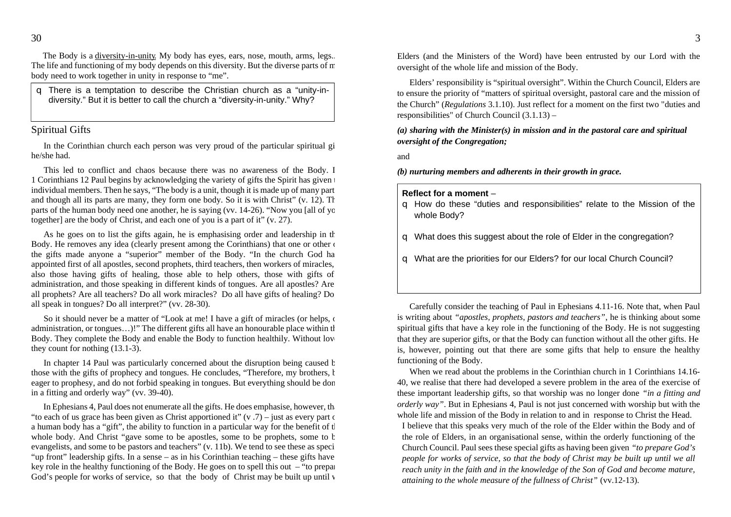The Body is a diversity-in-unity. My body has eyes, ears, nose, mouth, arms, legs... The life and functioning of my body depends on this diversity. But the diverse parts of m body need to work together in unity in response to "me".

q There is a temptation to describe the Christian church as a "unity-indiversity." But it is better to call the church a "diversity-in-unity." Why?

## Spiritual Gifts

In the Corinthian church each person was very proud of the particular spiritual gi he/she had.

This led to conflict and chaos because there was no awareness of the Body. I 1 Corinthians 12 Paul begins by acknowledging the variety of gifts the Spirit has given to individual members. Then he says, "The body is a unit, though it is made up of many part and though all its parts are many, they form one body. So it is with Christ" (v. 12). The parts of the human body need one another, he is saying (vv. 14-26). "Now you [all of you together] are the body of Christ, and each one of you is a part of it" (v. 27).

As he goes on to list the gifts again, he is emphasising order and leadership in the Body. He removes any idea (clearly present among the Corinthians) that one or other  $\epsilon$ the gifts made anyone a "superior" member of the Body. "In the church God has appointed first of all apostles, second prophets, third teachers, then workers of miracles, also those having gifts of healing, those able to help others, those with gifts of administration, and those speaking in different kinds of tongues. Are all apostles? Are all prophets? Are all teachers? Do all work miracles? Do all have gifts of healing? Do all speak in tongues? Do all interpret?" (vv. 28-30).

So it should never be a matter of "Look at me! I have a gift of miracles (or helps, or administration, or tongues...)!" The different gifts all have an honourable place within  $t$ Body. They complete the Body and enable the Body to function healthily. Without love, they count for nothing (13.1-3).

In chapter 14 Paul was particularly concerned about the disruption being caused by those with the gifts of prophecy and tongues. He concludes, "Therefore, my brothers, beginning eager to prophesy, and do not forbid speaking in tongues. But everything should be done in a fitting and orderly way" (vv. 39-40).

In Ephesians 4, Paul does not enumerate all the gifts. He does emphasise, however, that "to each of us grace has been given as Christ apportioned it"  $(v, 7)$  – just as every part of a human body has a "gift", the ability to function in a particular way for the benefit of the whole body. And Christ "gave some to be apostles, some to be prophets, some to be evangelists, and some to be pastors and teachers"  $(v, 11b)$ . We tend to see these as speci-"up front" leadership gifts. In a sense  $-$  as in his Corinthian teaching  $-$  these gifts have key role in the healthy functioning of the Body. He goes on to spell this out – "to prepare God's people for works of service, so that the body of Christ may be built up until  $v$  Elders (and the Ministers of the Word) have been entrusted by our Lord with the oversight of the whole life and mission of the Body.

Elders' responsibility is "spiritual oversight". Within the Church Council, Elders are to ensure the priority of "matters of spiritual oversight, pastoral care and the mission of the Church" (*Regulations* 3.1.10). Just reflect for a moment on the first two "duties and responsibilities" of Church Council (3.1.13) –

*(a) sharing with the Minister(s) in mission and in the pastoral care and spiritual oversight of the Congregation;*

and

*(b) nurturing members and adherents in their growth in grace.*

#### **Reflect for a moment** –

- q How do these "duties and responsibilities" relate to the Mission of the whole Body?
- q What does this suggest about the role of Elder in the congregation?
- q What are the priorities for our Elders? for our local Church Council?

Carefully consider the teaching of Paul in Ephesians 4.11-16. Note that, when Paul is writing about *"apostles, prophets, pastors and teachers"*, he is thinking about some spiritual gifts that have a key role in the functioning of the Body. He is not suggesting that they are superior gifts, or that the Body can function without all the other gifts. He is, however, pointing out that there are some gifts that help to ensure the healthy functioning of the Body.

When we read about the problems in the Corinthian church in 1 Corinthians 14.16-40, we realise that there had developed a severe problem in the area of the exercise of these important leadership gifts, so that worship was no longer done *"in a fitting and orderly way"*. But in Ephesians 4, Paul is not just concerned with worship but with the whole life and mission of the Body in relation to and in response to Christ the Head.

I believe that this speaks very much of the role of the Elder within the Body and of the role of Elders, in an organisational sense, within the orderly functioning of the Church Council. Paul sees these special gifts as having been given *"to prepare God's people for works of service, so that the body of Christ may be built up until we all reach unity in the faith and in the knowledge of the Son of God and become mature, attaining to the whole measure of the fullness of Christ"* (vv.12-13).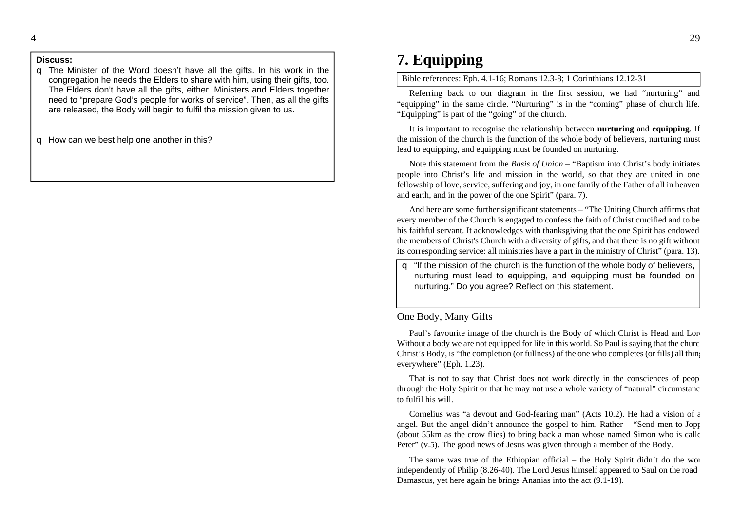#### **Discuss:**

q The Minister of the Word doesn't have all the gifts. In his work in the congregation he needs the Elders to share with him, using their gifts, too. The Elders don't have all the gifts, either. Ministers and Elders together need to "prepare God's people for works of service". Then, as all the gifts are released, the Body will begin to fulfil the mission given to us.

q How can we best help one another in this?

# **7. Equipping**

Bible references: Eph. 4.1-16; Romans 12.3-8; 1 Corinthians 12.12-31

Referring back to our diagram in the first session, we had "nurturing" and "equipping" in the same circle. "Nurturing" is in the "coming" phase of church life. "Equipping" is part of the "going" of the church.

It is important to recognise the relationship between **nurturing** and **equipping**. If the mission of the church is the function of the whole body of believers, nurturing must lead to equipping, and equipping must be founded on nurturing.

Note this statement from the *Basis of Union –* "Baptism into Christ's body initiates people into Christ's life and mission in the world, so that they are united in one fellowship of love, service, suffering and joy, in one family of the Father of all in heaven and earth, and in the power of the one Spirit" (para. 7).

And here are some further significant statements – "The Uniting Church affirms that every member of the Church is engaged to confess the faith of Christ crucified and to be his faithful servant. It acknowledges with thanksgiving that the one Spirit has endowed the members of Christ's Church with a diversity of gifts, and that there is no gift without its corresponding service: all ministries have a part in the ministry of Christ" (para. 13).

q "If the mission of the church is the function of the whole body of believers, nurturing must lead to equipping, and equipping must be founded on nurturing." Do you agree? Reflect on this statement.

#### One Body, Many Gifts

Paul's favourite image of the church is the Body of which Christ is Head and Lord Without a body we are not equipped for life in this world. So Paul is saying that the churc Christ's Body, is "the completion (or fullness) of the one who completes (or fills) all things everywhere" (Eph. 1.23).

That is not to say that Christ does not work directly in the consciences of people through the Holy Spirit or that he may not use a whole variety of "natural" circumstance to fulfil his will.

Cornelius was "a devout and God-fearing man" (Acts 10.2). He had a vision of an angel. But the angel didn't announce the gospel to him. Rather – "Send men to Joppa (about 55km as the crow flies) to bring back a man whose named Simon who is called Peter" (v.5). The good news of Jesus was given through a member of the Body.

The same was true of the Ethiopian official – the Holy Spirit didn't do the work independently of Philip  $(8.26-40)$ . The Lord Jesus himself appeared to Saul on the road to Damascus, yet here again he brings Ananias into the act (9.1-19).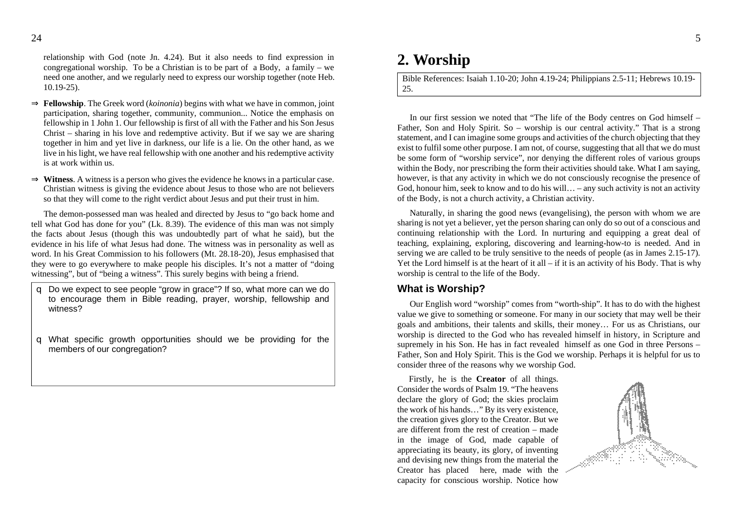relationship with God (note Jn. 4.24). But it also needs to find expression in congregational worship. To be a Christian is to be part of a Body, a family – we need one another, and we regularly need to express our worship together (note Heb. 10.19-25).

- **Fellowship**. The Greek word (*koinonia*) begins with what we have in common, joint participation, sharing together, community, communion... Notice the emphasis on fellowship in 1 John 1. Our fellowship is first of all with the Father and his Son Jesus Christ – sharing in his love and redemptive activity. But if we say we are sharing together in him and yet live in darkness, our life is a lie. On the other hand, as we live in his light, we have real fellowship with one another and his redemptive activity is at work within us.
- **Witness**. A witness is a person who gives the evidence he knows in a particular case. Christian witness is giving the evidence about Jesus to those who are not believers so that they will come to the right verdict about Jesus and put their trust in him.

The demon-possessed man was healed and directed by Jesus to "go back home and tell what God has done for you" (Lk. 8.39). The evidence of this man was not simply the facts about Jesus (though this was undoubtedly part of what he said), but the evidence in his life of what Jesus had done. The witness was in personality as well as word. In his Great Commission to his followers (Mt. 28.18-20), Jesus emphasised that they were to go everywhere to make people his disciples. It's not a matter of "doing witnessing", but of "being a witness". This surely begins with being a friend.

- q Do we expect to see people "grow in grace"? If so, what more can we do to encourage them in Bible reading, prayer, worship, fellowship and witness?
- q What specific growth opportunities should we be providing for the members of our congregation?

# **2. Worship**

Bible References: Isaiah 1.10-20; John 4.19-24; Philippians 2.5-11; Hebrews 10.19- 25.

In our first session we noted that "The life of the Body centres on God himself – Father, Son and Holy Spirit. So – worship is our central activity." That is a strong statement, and I can imagine some groups and activities of the church objecting that they exist to fulfil some other purpose. I am not, of course, suggesting that all that we do must be some form of "worship service", nor denying the different roles of various groups within the Body, nor prescribing the form their activities should take. What I am saying, however, is that any activity in which we do not consciously recognise the presence of God, honour him, seek to know and to do his will… – any such activity is not an activity of the Body, is not a church activity, a Christian activity.

Naturally, in sharing the good news (evangelising), the person with whom we are sharing is not yet a believer, yet the person sharing can only do so out of a conscious and continuing relationship with the Lord. In nurturing and equipping a great deal of teaching, explaining, exploring, discovering and learning-how-to is needed. And in serving we are called to be truly sensitive to the needs of people (as in James 2.15-17). Yet the Lord himself is at the heart of it all  $-$  if it is an activity of his Body. That is why worship is central to the life of the Body.

## **What is Worship?**

Our English word "worship" comes from "worth-ship". It has to do with the highest value we give to something or someone. For many in our society that may well be their goals and ambitions, their talents and skills, their money… For us as Christians, our worship is directed to the God who has revealed himself in history, in Scripture and supremely in his Son. He has in fact revealed himself as one God in three Persons – Father, Son and Holy Spirit. This is the God we worship. Perhaps it is helpful for us to consider three of the reasons why we worship God.

Firstly, he is the **Creator** of all things. Consider the words of Psalm 19. "The heavens declare the glory of God; the skies proclaim the work of his hands…" By its very existence, the creation gives glory to the Creator. But we are different from the rest of creation – made in the image of God, made capable of appreciating its beauty, its glory, of inventing and devising new things from the material the Creator has placed here, made with the capacity for conscious worship. Notice how

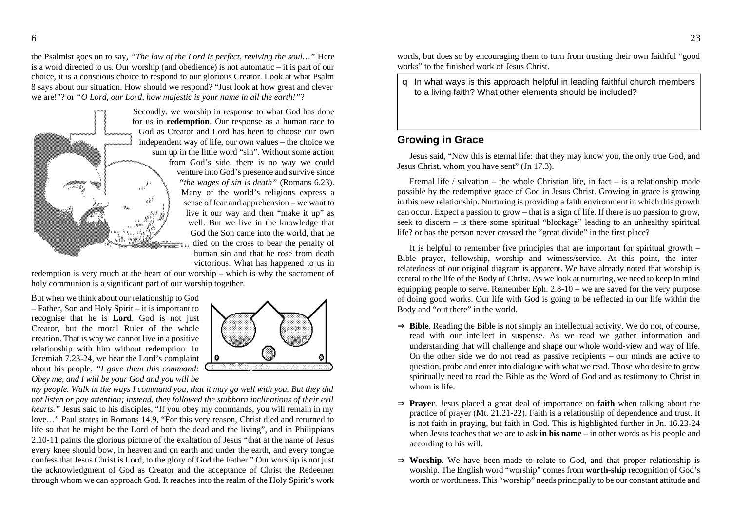the Psalmist goes on to say, *"The law of the Lord is perfect, reviving the soul…"* Here is a word directed to us. Our worship (and obedience) is not automatic – it is part of our choice, it is a conscious choice to respond to our glorious Creator. Look at what Psalm 8 says about our situation. How should we respond? "Just look at how great and clever we are!"? or *"O Lord, our Lord, how majestic is your name in all the earth!"*?



Secondly, we worship in response to what God has done for us in **redemption**. Our response as a human race to God as Creator and Lord has been to choose our own independent way of life, our own values – the choice we sum up in the little word "sin". Without some action from God's side, there is no way we could venture into God's presence and survive since *"the wages of sin is death"* (Romans 6.23). Many of the world's religions express a sense of fear and apprehension – we want to live it our way and then "make it up" as well. But we live in the knowledge that God the Son came into the world, that he died on the cross to bear the penalty of human sin and that he rose from death victorious. What has happened to us in

redemption is very much at the heart of our worship – which is why the sacrament of holy communion is a significant part of our worship together.

But when we think about our relationship to God – Father, Son and Holy Spirit – it is important to recognise that he is **Lord**. God is not just Creator, but the moral Ruler of the whole creation. That is why we cannot live in a positive relationship with him without redemption. In Jeremiah 7.23-24, we hear the Lord's complaint about his people, *"I gave them this command: Obey me, and I will be your God and you will be* 



*my people. Walk in the ways I command you, that it may go well with you. But they did not listen or pay attention; instead, they followed the stubborn inclinations of their evil hearts.*" Jesus said to his disciples, "If you obey my commands, you will remain in my love…" Paul states in Romans 14.9, "For this very reason, Christ died and returned to life so that he might be the Lord of both the dead and the living", and in Philippians 2.10-11 paints the glorious picture of the exaltation of Jesus "that at the name of Jesus every knee should bow, in heaven and on earth and under the earth, and every tongue confess that Jesus Christ is Lord, to the glory of God the Father." Our worship is not just the acknowledgment of God as Creator and the acceptance of Christ the Redeemer through whom we can approach God. It reaches into the realm of the Holy Spirit's work words, but does so by encouraging them to turn from trusting their own faithful "good works" to the finished work of Jesus Christ.

q In what ways is this approach helpful in leading faithful church members to a living faith? What other elements should be included?

### **Growing in Grace**

Jesus said, "Now this is eternal life: that they may know you, the only true God, and Jesus Christ, whom you have sent" (Jn 17.3).

Eternal life / salvation – the whole Christian life, in fact – is a relationship made possible by the redemptive grace of God in Jesus Christ. Growing in grace is growing in this new relationship. Nurturing is providing a faith environment in which this growth can occur. Expect a passion to grow – that is a sign of life. If there is no passion to grow, seek to discern – is there some spiritual "blockage" leading to an unhealthy spiritual life? or has the person never crossed the "great divide" in the first place?

It is helpful to remember five principles that are important for spiritual growth – Bible prayer, fellowship, worship and witness/service. At this point, the interrelatedness of our original diagram is apparent. We have already noted that worship is central to the life of the Body of Christ. As we look at nurturing, we need to keep in mind equipping people to serve. Remember Eph. 2.8-10 – we are saved for the very purpose of doing good works. Our life with God is going to be reflected in our life within the Body and "out there" in the world.

- **Bible**. Reading the Bible is not simply an intellectual activity. We do not, of course, read with our intellect in suspense. As we read we gather information and understanding that will challenge and shape our whole world-view and way of life. On the other side we do not read as passive recipients – our minds are active to question, probe and enter into dialogue with what we read. Those who desire to grow spiritually need to read the Bible as the Word of God and as testimony to Christ in whom is life.
- **Prayer**. Jesus placed a great deal of importance on **faith** when talking about the practice of prayer (Mt. 21.21-22). Faith is a relationship of dependence and trust. It is not faith in praying, but faith in God. This is highlighted further in Jn. 16.23-24 when Jesus teaches that we are to ask **in his name** – in other words as his people and according to his will.
- **Worship**. We have been made to relate to God, and that proper relationship is worship. The English word "worship" comes from **worth-ship** recognition of God's worth or worthiness. This "worship" needs principally to be our constant attitude and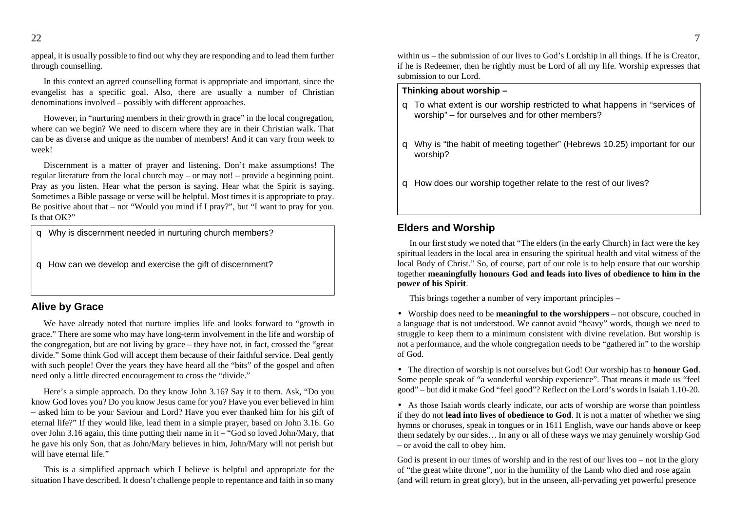appeal, it is usually possible to find out why they are responding and to lead them further through counselling.

In this context an agreed counselling format is appropriate and important, since the evangelist has a specific goal. Also, there are usually a number of Christian denominations involved – possibly with different approaches.

However, in "nurturing members in their growth in grace" in the local congregation, where can we begin? We need to discern where they are in their Christian walk. That can be as diverse and unique as the number of members! And it can vary from week to week!

Discernment is a matter of prayer and listening. Don't make assumptions! The regular literature from the local church may – or may not! – provide a beginning point. Pray as you listen. Hear what the person is saying. Hear what the Spirit is saying. Sometimes a Bible passage or verse will be helpful. Most times it is appropriate to pray. Be positive about that – not "Would you mind if I pray?", but "I want to pray for you. Is that OK?"

q Why is discernment needed in nurturing church members?

q How can we develop and exercise the gift of discernment?

### **Alive by Grace**

We have already noted that nurture implies life and looks forward to "growth in grace." There are some who may have long-term involvement in the life and worship of the congregation, but are not living by grace – they have not, in fact, crossed the "great divide." Some think God will accept them because of their faithful service. Deal gently with such people! Over the years they have heard all the "bits" of the gospel and often need only a little directed encouragement to cross the "divide."

Here's a simple approach. Do they know John 3.16? Say it to them. Ask, "Do you know God loves you? Do you know Jesus came for you? Have you ever believed in him – asked him to be your Saviour and Lord? Have you ever thanked him for his gift of eternal life?" If they would like, lead them in a simple prayer, based on John 3.16. Go over John 3.16 again, this time putting their name in it  $-$  "God so loved John/Mary, that he gave his only Son, that as John/Mary believes in him, John/Mary will not perish but will have eternal life."

This is a simplified approach which I believe is helpful and appropriate for the situation I have described. It doesn't challenge people to repentance and faith in so many

within us – the submission of our lives to God's Lordship in all things. If he is Creator, if he is Redeemer, then he rightly must be Lord of all my life. Worship expresses that submission to our Lord.

#### **Thinking about worship –**

- q To what extent is our worship restricted to what happens in "services of worship" – for ourselves and for other members?
- q Why is "the habit of meeting together" (Hebrews 10.25) important for our worship?
- q How does our worship together relate to the rest of our lives?

### **Elders and Worship**

In our first study we noted that "The elders (in the early Church) in fact were the key spiritual leaders in the local area in ensuring the spiritual health and vital witness of the local Body of Christ." So, of course, part of our role is to help ensure that our worship together **meaningfully honours God and leads into lives of obedience to him in the power of his Spirit**.

This brings together a number of very important principles –

 Worship does need to be **meaningful to the worshippers** – not obscure, couched in a language that is not understood. We cannot avoid "heavy" words, though we need to struggle to keep them to a minimum consistent with divine revelation. But worship is not a performance, and the whole congregation needs to be "gathered in" to the worship of God.

 The direction of worship is not ourselves but God! Our worship has to **honour God**. Some people speak of "a wonderful worship experience". That means it made us "feel good" – but did it make God "feel good"? Reflect on the Lord's words in Isaiah 1.10-20.

 As those Isaiah words clearly indicate, our acts of worship are worse than pointless if they do not **lead into lives of obedience to God**. It is not a matter of whether we sing hymns or choruses, speak in tongues or in 1611 English, wave our hands above or keep them sedately by our sides… In any or all of these ways we may genuinely worship God – or avoid the call to obey him.

God is present in our times of worship and in the rest of our lives too – not in the glory of "the great white throne", nor in the humility of the Lamb who died and rose again (and will return in great glory), but in the unseen, all-pervading yet powerful presence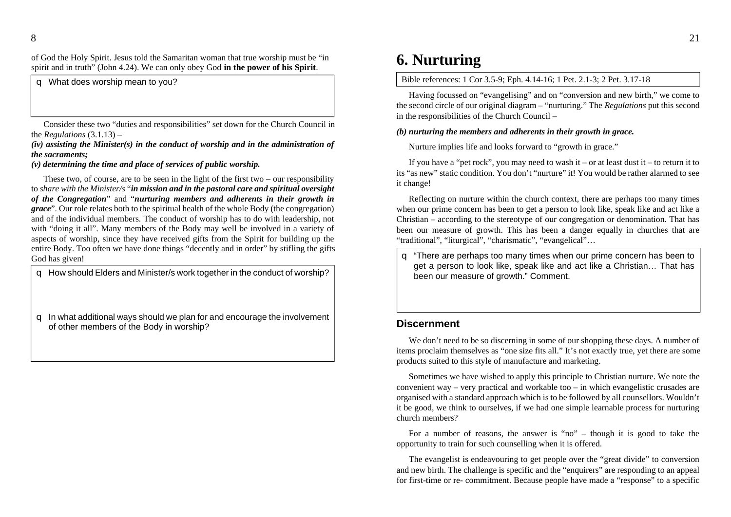of God the Holy Spirit. Jesus told the Samaritan woman that true worship must be "in spirit and in truth" (John 4.24). We can only obey God **in the power of his Spirit**.

q What does worship mean to you?

Consider these two "duties and responsibilities" set down for the Church Council in the *Regulations* (3.1.13) –

*(iv) assisting the Minister(s) in the conduct of worship and in the administration of the sacraments;*

*(v) determining the time and place of services of public worship.*

These two, of course, are to be seen in the light of the first two – our responsibility to *share with the Minister/s* "*in mission and in the pastoral care and spiritual oversight of the Congregation*" and "*nurturing members and adherents in their growth in grace*". Our role relates both to the spiritual health of the whole Body (the congregation) and of the individual members. The conduct of worship has to do with leadership, not with "doing it all". Many members of the Body may well be involved in a variety of aspects of worship, since they have received gifts from the Spirit for building up the entire Body. Too often we have done things "decently and in order" by stifling the gifts God has given!

q How should Elders and Minister/s work together in the conduct of worship?

q In what additional ways should we plan for and encourage the involvement of other members of the Body in worship?

# **6. Nurturing**

Bible references: 1 Cor 3.5-9; Eph. 4.14-16; 1 Pet. 2.1-3; 2 Pet. 3.17-18

Having focussed on "evangelising" and on "conversion and new birth," we come to the second circle of our original diagram – "nurturing." The *Regulations* put this second in the responsibilities of the Church Council –

#### *(b) nurturing the members and adherents in their growth in grace.*

Nurture implies life and looks forward to "growth in grace."

If you have a "pet rock", you may need to wash it – or at least dust it – to return it to its "as new" static condition. You don't "nurture" it! You would be rather alarmed to see it change!

Reflecting on nurture within the church context, there are perhaps too many times when our prime concern has been to get a person to look like, speak like and act like a Christian – according to the stereotype of our congregation or denomination. That has been our measure of growth. This has been a danger equally in churches that are "traditional", "liturgical", "charismatic", "evangelical"…

q "There are perhaps too many times when our prime concern has been to get a person to look like, speak like and act like a Christian… That has been our measure of growth." Comment.

#### **Discernment**

We don't need to be so discerning in some of our shopping these days. A number of items proclaim themselves as "one size fits all." It's not exactly true, yet there are some products suited to this style of manufacture and marketing.

Sometimes we have wished to apply this principle to Christian nurture. We note the convenient way – very practical and workable too – in which evangelistic crusades are organised with a standard approach which is to be followed by all counsellors. Wouldn't it be good, we think to ourselves, if we had one simple learnable process for nurturing church members?

For a number of reasons, the answer is "no" – though it is good to take the opportunity to train for such counselling when it is offered.

The evangelist is endeavouring to get people over the "great divide" to conversion and new birth. The challenge is specific and the "enquirers" are responding to an appeal for first-time or re- commitment. Because people have made a "response" to a specific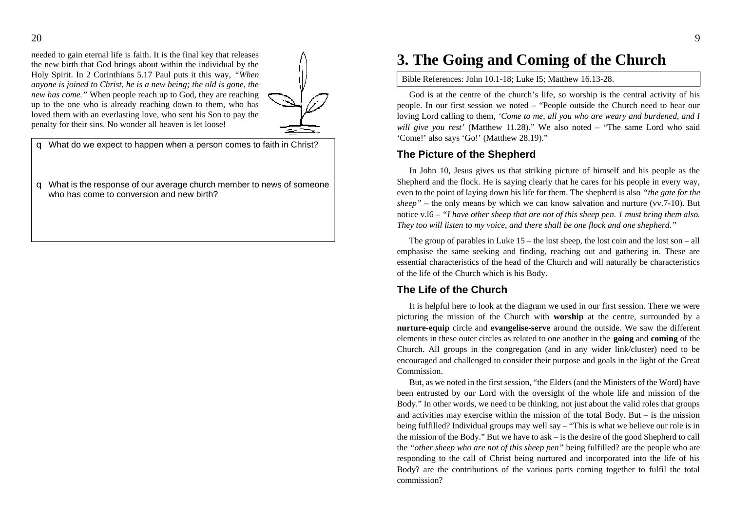needed to gain eternal life is faith. It is the final key that releases the new birth that God brings about within the individual by the Holy Spirit. In 2 Corinthians 5.17 Paul puts it this way, *"When anyone is joined to Christ, he is a new being; the old is gone, the new has come."* When people reach up to God, they are reaching up to the one who is already reaching down to them, who has loved them with an everlasting love, who sent his Son to pay the penalty for their sins. No wonder all heaven is let loose!



q What do we expect to happen when a person comes to faith in Christ?

q What is the response of our average church member to news of someone who has come to conversion and new birth?

## **3. The Going and Coming of the Church**

Bible References: John 10.1-18; Luke I5; Matthew 16.13-28.

God is at the centre of the church's life, so worship is the central activity of his people. In our first session we noted – "People outside the Church need to hear our loving Lord calling to them, *'Come to me, all you who are weary and burdened, and I will give you rest'* (Matthew 11.28)." We also noted – "The same Lord who said 'Come!' also says 'Go!' (Matthew 28.19)."

### **The Picture of the Shepherd**

In John 10, Jesus gives us that striking picture of himself and his people as the Shepherd and the flock. He is saying clearly that he cares for his people in every way, even to the point of laying down his life for them. The shepherd is also *"the gate for the sheep"* – the only means by which we can know salvation and nurture (vv.7-10). But notice v.l6 – *"I have other sheep that are not of this sheep pen. 1 must bring them also. They too will listen to my voice, and there shall be one flock and one shepherd."*

The group of parables in Luke 15 – the lost sheep, the lost coin and the lost son – all emphasise the same seeking and finding, reaching out and gathering in. These are essential characteristics of the head of the Church and will naturally be characteristics of the life of the Church which is his Body.

#### **The Life of the Church**

It is helpful here to look at the diagram we used in our first session. There we were picturing the mission of the Church with **worship** at the centre, surrounded by a **nurture-equip** circle and **evangelise-serve** around the outside. We saw the different elements in these outer circles as related to one another in the **going** and **coming** of the Church. All groups in the congregation (and in any wider link/cluster) need to be encouraged and challenged to consider their purpose and goals in the light of the Great Commission.

But, as we noted in the first session, "the Elders (and the Ministers of the Word) have been entrusted by our Lord with the oversight of the whole life and mission of the Body." In other words, we need to be thinking, not just about the valid roles that groups and activities may exercise within the mission of the total Body. But – is the mission being fulfilled? Individual groups may well say – "This is what we believe our role is in the mission of the Body." But we have to ask – is the desire of the good Shepherd to call the *"other sheep who are not of this sheep pen"* being fulfilled? are the people who are responding to the call of Christ being nurtured and incorporated into the life of his Body? are the contributions of the various parts coming together to fulfil the total commission?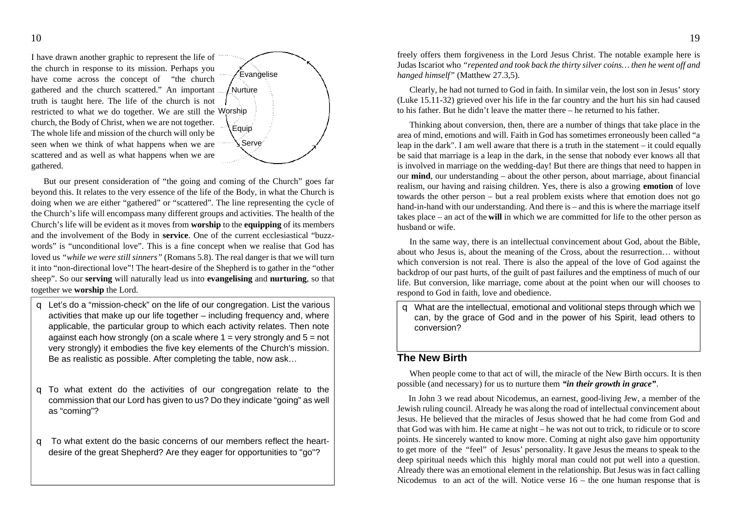I have drawn another graphic to represent the life of the church in response to its mission. Perhaps you have come across the concept of "the church gathered and the church scattered." An important truth is taught here. The life of the church is not restricted to what we do together. We are still the Worship church, the Body of Christ, when we are not together. The whole life and mission of the church will only be seen when we think of what happens when we are scattered and as well as what happens when we are gathered.



But our present consideration of "the going and coming of the Church" goes far beyond this. It relates to the very essence of the life of the Body, in what the Church is doing when we are either "gathered" or "scattered". The line representing the cycle of the Church's life will encompass many different groups and activities. The health of the Church's life will be evident as it moves from **worship** to the **equipping** of its members and the involvement of the Body in **service**. One of the current ecclesiastical "buzzwords" is "unconditional love". This is a fine concept when we realise that God has loved us *"while we were still sinners"* (Romans 5.8). The real danger is that we will turn it into "non-directional love"! The heart-desire of the Shepherd is to gather in the "other sheep". So our **serving** will naturally lead us into **evangelising** and **nurturing**, so that together we **worship** the Lord.

- q Let's do a "mission-check" on the life of our congregation. List the various activities that make up our life together – including frequency and, where applicable, the particular group to which each activity relates. Then note against each how strongly (on a scale where  $1 =$  very strongly and  $5 =$  not very strongly) it embodies the five key elements of the Church's mission. Be as realistic as possible. After completing the table, now ask…
- q To what extent do the activities of our congregation relate to the commission that our Lord has given to us? Do they indicate "going" as well as "coming"?
- q To what extent do the basic concerns of our members reflect the heartdesire of the great Shepherd? Are they eager for opportunities to "go"?

freely offers them forgiveness in the Lord Jesus Christ. The notable example here is Judas Iscariot who *"repented and took back the thirty silver coins… then he went off and hanged himself"* (Matthew 27.3,5).

Clearly, he had not turned to God in faith. In similar vein, the lost son in Jesus' story (Luke 15.11-32) grieved over his life in the far country and the hurt his sin had caused to his father. But he didn't leave the matter there – he returned to his father.

Thinking about conversion, then, there are a number of things that take place in the area of mind, emotions and will. Faith in God has sometimes erroneously been called "a leap in the dark". I am well aware that there is a truth in the statement – it could equally be said that marriage is a leap in the dark, in the sense that nobody ever knows all that is involved in marriage on the wedding-day! But there are things that need to happen in our **mind**, our understanding – about the other person, about marriage, about financial realism, our having and raising children. Yes, there is also a growing **emotion** of love towards the other person – but a real problem exists where that emotion does not go hand-in-hand with our understanding. And there is – and this is where the marriage itself takes place – an act of the **will** in which we are committed for life to the other person as husband or wife.

In the same way, there is an intellectual convincement about God, about the Bible, about who Jesus is, about the meaning of the Cross, about the resurrection… without which conversion is not real. There is also the appeal of the love of God against the backdrop of our past hurts, of the guilt of past failures and the emptiness of much of our life. But conversion, like marriage, come about at the point when our will chooses to respond to God in faith, love and obedience.

q What are the intellectual, emotional and volitional steps through which we can, by the grace of God and in the power of his Spirit, lead others to conversion?

## **The New Birth**

When people come to that act of will, the miracle of the New Birth occurs. It is then possible (and necessary) for us to nurture them *"in their growth in grace"*.

In John 3 we read about Nicodemus, an earnest, good-living Jew, a member of the Jewish ruling council. Already he was along the road of intellectual convincement about Jesus. He believed that the miracles of Jesus showed that he had come from God and that God was with him. He came at night – he was not out to trick, to ridicule or to score points. He sincerely wanted to know more. Coming at night also gave him opportunity to get more of the "feel" of Jesus' personality. It gave Jesus the means to speak to the deep spiritual needs which this highly moral man could not put well into a question. Already there was an emotional element in the relationship. But Jesus was in fact calling Nicodemus to an act of the will. Notice verse 16 – the one human response that is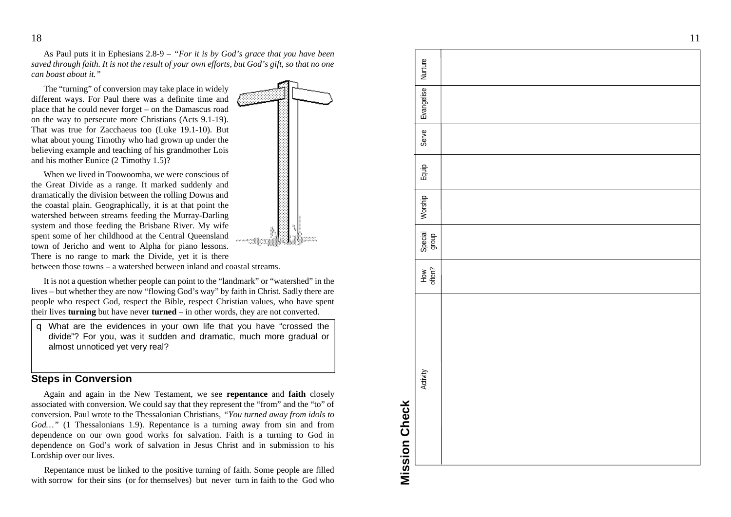As Paul puts it in Ephesians 2.8-9 – *"For it is by God's grace that you have been saved through faith. It is not the result of your own efforts, but God's gift, so that no one can boast about it."*

The "turning" of conversion may take place in widely different ways. For Paul there was a definite time and place that he could never forget – on the Damascus road on the way to persecute more Christians (Acts 9.1-19). That was true for Zacchaeus too (Luke 19.1-10). But what about young Timothy who had grown up under the believing example and teaching of his grandmother Lois and his mother Eunice (2 Timothy 1.5)?

When we lived in Toowoomba, we were conscious of the Great Divide as a range. It marked suddenly and dramatically the division between the rolling Downs and the coastal plain. Geographically, it is at that point the watershed between streams feeding the Murray-Darling system and those feeding the Brisbane River. My wife spent some of her childhood at the Central Queensland town of Jericho and went to Alpha for piano lessons. There is no range to mark the Divide, yet it is there

between those towns – a watershed between inland and coastal streams.

It is not a question whether people can point to the "landmark" or "watershed" in the lives – but whether they are now "flowing God's way" by faith in Christ. Sadly there are people who respect God, respect the Bible, respect Christian values, who have spent their lives **turning** but have never **turned** – in other words, they are not converted.

q What are the evidences in your own life that you have "crossed the divide"? For you, was it sudden and dramatic, much more gradual or almost unnoticed yet very real?

## **Steps in Conversion**

Again and again in the New Testament, we see **repentance** and **faith** closely associated with conversion. We could say that they represent the "from" and the "to" of conversion. Paul wrote to the Thessalonian Christians, *"You turned away from idols to God…"* (1 Thessalonians 1.9). Repentance is a turning away from sin and from dependence on our own good works for salvation. Faith is a turning to God in dependence on God's work of salvation in Jesus Christ and in submission to his Lordship over our lives.

Repentance must be linked to the positive turning of faith. Some people are filled with sorrow for their sins (or for themselves) but never turn in faith to the God who

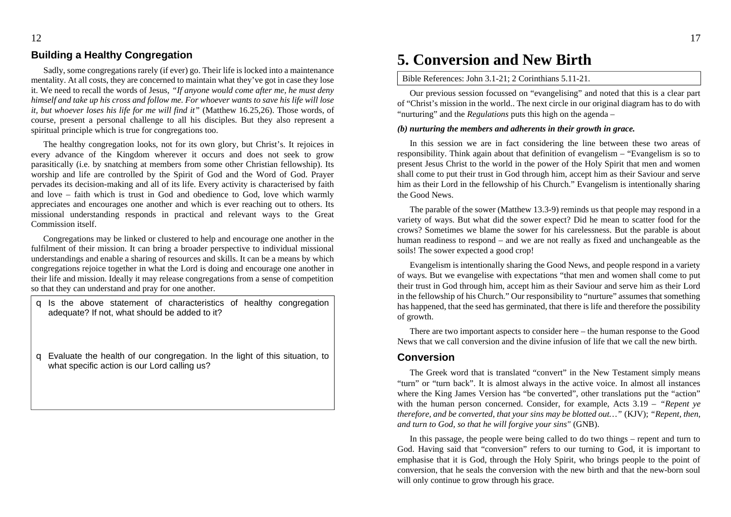## **Building a Healthy Congregation**

Sadly, some congregations rarely (if ever) go. Their life is locked into a maintenance mentality. At all costs, they are concerned to maintain what they've got in case they lose it. We need to recall the words of Jesus, *"If anyone would come after me, he must deny himself and take up his cross and follow me. For whoever wants to save his life will lose it, but whoever loses his life for me will find it"* (Matthew 16.25,26). Those words, of course, present a personal challenge to all his disciples. But they also represent a spiritual principle which is true for congregations too.

The healthy congregation looks, not for its own glory, but Christ's. It rejoices in every advance of the Kingdom wherever it occurs and does not seek to grow parasitically (i.e. by snatching at members from some other Christian fellowship). Its worship and life are controlled by the Spirit of God and the Word of God. Prayer pervades its decision-making and all of its life. Every activity is characterised by faith and love – faith which is trust in God and obedience to God, love which warmly appreciates and encourages one another and which is ever reaching out to others. Its missional understanding responds in practical and relevant ways to the Great Commission itself.

Congregations may be linked or clustered to help and encourage one another in the fulfilment of their mission. It can bring a broader perspective to individual missional understandings and enable a sharing of resources and skills. It can be a means by which congregations rejoice together in what the Lord is doing and encourage one another in their life and mission. Ideally it may release congregations from a sense of competition so that they can understand and pray for one another.

- q Is the above statement of characteristics of healthy congregation adequate? If not, what should be added to it?
- q Evaluate the health of our congregation. In the light of this situation, to what specific action is our Lord calling us?

## **5. Conversion and New Birth**

Bible References: John 3.1-21; 2 Corinthians 5.11-21.

Our previous session focussed on "evangelising" and noted that this is a clear part of "Christ's mission in the world.. The next circle in our original diagram has to do with "nurturing" and the *Regulations* puts this high on the agenda –

#### *(b) nurturing the members and adherents in their growth in grace.*

In this session we are in fact considering the line between these two areas of responsibility. Think again about that definition of evangelism – "Evangelism is so to present Jesus Christ to the world in the power of the Holy Spirit that men and women shall come to put their trust in God through him, accept him as their Saviour and serve him as their Lord in the fellowship of his Church." Evangelism is intentionally sharing the Good News.

The parable of the sower (Matthew 13.3-9) reminds us that people may respond in a variety of ways. But what did the sower expect? Did he mean to scatter food for the crows? Sometimes we blame the sower for his carelessness. But the parable is about human readiness to respond – and we are not really as fixed and unchangeable as the soils! The sower expected a good crop!

Evangelism is intentionally sharing the Good News, and people respond in a variety of ways. But we evangelise with expectations "that men and women shall come to put their trust in God through him, accept him as their Saviour and serve him as their Lord in the fellowship of his Church." Our responsibility to "nurture" assumes that something has happened, that the seed has germinated, that there is life and therefore the possibility of growth.

There are two important aspects to consider here – the human response to the Good News that we call conversion and the divine infusion of life that we call the new birth.

#### **Conversion**

The Greek word that is translated "convert" in the New Testament simply means "turn" or "turn back". It is almost always in the active voice. In almost all instances where the King James Version has "be converted", other translations put the "action" with the human person concerned. Consider, for example, Acts 3.19 – *"Repent ye therefore, and be converted, that your sins may be blotted out…"* (KJV); *"Repent, then, and turn to God, so that he will forgive your sins"* (GNB).

In this passage, the people were being called to do two things – repent and turn to God. Having said that "conversion" refers to our turning to God, it is important to emphasise that it is God, through the Holy Spirit, who brings people to the point of conversion, that he seals the conversion with the new birth and that the new-born soul will only continue to grow through his grace.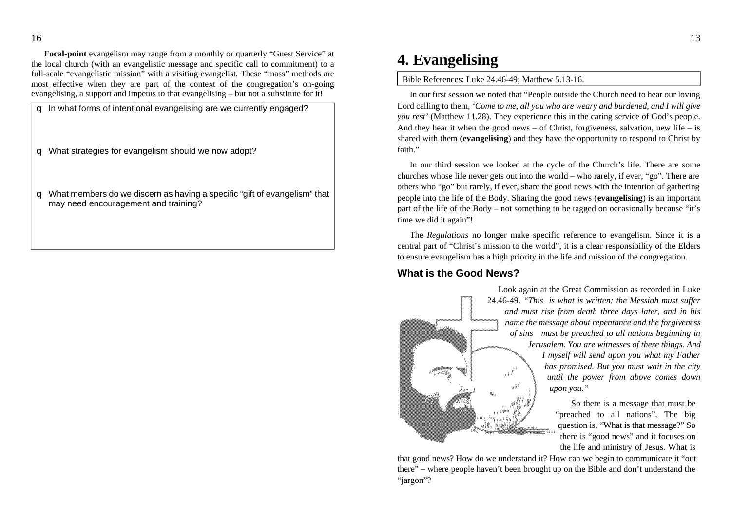**Focal-point** evangelism may range from a monthly or quarterly "Guest Service" at the local church (with an evangelistic message and specific call to commitment) to a full-scale "evangelistic mission" with a visiting evangelist. These "mass" methods are most effective when they are part of the context of the congregation's on-going evangelising, a support and impetus to that evangelising – but not a substitute for it!

| a | In what forms of intentional evangelising are we currently engaged?                                               |
|---|-------------------------------------------------------------------------------------------------------------------|
|   | What strategies for evangelism should we now adopt?                                                               |
| a | What members do we discern as having a specific "gift of evangelism" that<br>may need encouragement and training? |
|   |                                                                                                                   |

# **4. Evangelising**

Bible References: Luke 24.46-49; Matthew 5.13-16.

In our first session we noted that "People outside the Church need to hear our loving Lord calling to them, *'Come to me, all you who are weary and burdened, and I will give you rest'* (Matthew 11.28). They experience this in the caring service of God's people. And they hear it when the good news – of Christ, forgiveness, salvation, new life – is shared with them (**evangelising**) and they have the opportunity to respond to Christ by faith."

In our third session we looked at the cycle of the Church's life. There are some churches whose life never gets out into the world – who rarely, if ever, "go". There are others who "go" but rarely, if ever, share the good news with the intention of gathering people into the life of the Body. Sharing the good news (**evangelising**) is an important part of the life of the Body – not something to be tagged on occasionally because "it's time we did it again"!

The *Regulations* no longer make specific reference to evangelism. Since it is a central part of "Christ's mission to the world", it is a clear responsibility of the Elders to ensure evangelism has a high priority in the life and mission of the congregation.

## **What is the Good News?**



Look again at the Great Commission as recorded in Luke 24.46-49. *"This is what is written: the Messiah must suffer and must rise from death three days later, and in his name the message about repentance and the forgiveness of sins must be preached to all nations beginning in Jerusalem. You are witnesses of these things. And I myself will send upon you what my Father has promised. But you must wait in the city until the power from above comes down upon you."*

> So there is a message that must be "preached to all nations". The big question is, "What is that message?" So there is "good news" and it focuses on the life and ministry of Jesus. What is

that good news? How do we understand it? How can we begin to communicate it "out there" – where people haven't been brought up on the Bible and don't understand the "jargon"?